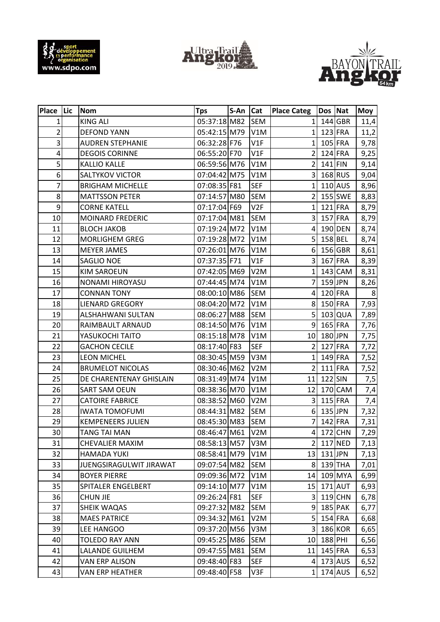





| Place Lic               | <b>Nom</b>               | <b>Tps</b>   | S-An | Cat              | <b>Place Categ</b>      | Dos Nat   |                | <b>Moy</b>     |
|-------------------------|--------------------------|--------------|------|------------------|-------------------------|-----------|----------------|----------------|
| $\mathbf{1}$            | <b>KING ALI</b>          | 05:37:18 M82 |      | <b>SEM</b>       | $\mathbf{1}$            |           | $144$ GBR      | 11,4           |
| $\overline{c}$          | <b>DEFOND YANN</b>       | 05:42:15 M79 |      | V1M              | 1                       |           | $123$ FRA      | 11,2           |
| 3                       | <b>AUDREN STEPHANIE</b>  | 06:32:28 F76 |      | V1F              | 1                       |           | 105 FRA        | 9,78           |
| $\overline{\mathbf{4}}$ | <b>DEGOIS CORINNE</b>    | 06:55:20 F70 |      | V1F              | $\overline{2}$          |           | 124 FRA        | 9,25           |
| 5                       | <b>KALLIO KALLE</b>      | 06:59:56 M76 |      | V1M              | $\overline{\mathbf{c}}$ | $141$ FIN |                | 9,14           |
| 6                       | SALTYKOV VICTOR          | 07:04:42 M75 |      | V1M              | 3                       |           | 168 RUS        | 9,04           |
| $\overline{7}$          | <b>BRIGHAM MICHELLE</b>  | 07:08:35 F81 |      | <b>SEF</b>       | $\mathbf 1$             |           | 110 AUS        | 8,96           |
| 8                       | <b>MATTSSON PETER</b>    | 07:14:57 M80 |      | <b>SEM</b>       | $\overline{2}$          |           | 155 SWE        | 8,83           |
| 9                       | <b>CORNE KATELL</b>      | 07:17:04 F69 |      | V <sub>2F</sub>  | $\mathbf{1}$            |           | 121 FRA        | 8,79           |
| 10                      | MOINARD FREDERIC         | 07:17:04 M81 |      | <b>SEM</b>       | 3                       |           | 157 FRA        | 8,79           |
| 11                      | <b>BLOCH JAKOB</b>       | 07:19:24 M72 |      | V1M              | $\overline{\mathbf{4}}$ |           | 190 DEN        | 8,74           |
| 12                      | <b>MORLIGHEM GREG</b>    | 07:19:28 M72 |      | V1M              | 5                       | 158 BEL   |                | 8,74           |
| 13                      | <b>MEYER JAMES</b>       | 07:26:01 M76 |      | V1M              | 6                       |           | 156 GBR        | 8,61           |
| 14                      | SAGLIO NOE               | 07:37:35 F71 |      | V1F              | 3                       |           | 167 FRA        | 8,39           |
| 15                      | <b>KIM SAROEUN</b>       | 07:42:05 M69 |      | V <sub>2</sub> M | $\mathbf 1$             |           | $143$ CAM      | 8,31           |
| 16                      | NONAMI HIROYASU          | 07:44:45 M74 |      | V1M              | $\overline{7}$          | 159 JPN   |                | 8,26           |
| 17                      | <b>CONNAN TONY</b>       | 08:00:10 M86 |      | <b>SEM</b>       | $\overline{\mathbf{4}}$ |           | 120 FRA        | 8 <sup>°</sup> |
| 18                      | <b>LIENARD GREGORY</b>   | 08:04:20 M72 |      | V1M              | 8                       |           | 150 FRA        | 7,93           |
| 19                      | ALSHAHWANI SULTAN        | 08:06:27 M88 |      | <b>SEM</b>       | 5                       |           | 103 QUA        | 7,89           |
| 20                      | RAIMBAULT ARNAUD         | 08:14:50 M76 |      | V1M              | 9                       |           | 165 FRA        | 7,76           |
| 21                      | YASUKOCHI TAITO          | 08:15:18 M78 |      | V1M              | 10                      | 180 JPN   |                | 7,75           |
| 22                      | <b>GACHON CECILE</b>     | 08:17:40 F83 |      | <b>SEF</b>       | $\overline{2}$          |           | <b>127 FRA</b> | 7,72           |
| 23                      | <b>LEON MICHEL</b>       | 08:30:45 M59 |      | V3M              | $\mathbf{1}$            |           | 149 FRA        | 7,52           |
| 24                      | <b>BRUMELOT NICOLAS</b>  | 08:30:46 M62 |      | V <sub>2</sub> M | $\overline{2}$          |           | $111$ FRA      | 7,52           |
| 25                      | DE CHARENTENAY GHISLAIN  | 08:31:49 M74 |      | V1M              | 11                      | $122$ SIN |                | 7,5            |
| 26                      | <b>SART SAM OEUN</b>     | 08:38:36 M70 |      | V1M              | 12                      |           | 170 CAM        | 7,4            |
| 27                      | <b>CATOIRE FABRICE</b>   | 08:38:52 M60 |      | V <sub>2</sub> M | 3                       |           | $115$ FRA      | 7,4            |
| 28                      | <b>IWATA TOMOFUMI</b>    | 08:44:31 M82 |      | <b>SEM</b>       | 6                       | 135 JPN   |                | 7,32           |
| 29                      | <b>KEMPENEERS JULIEN</b> | 08:45:30 M83 |      | <b>SEM</b>       | $\overline{7}$          |           | 142 FRA        | 7,31           |
| 30 <sub>1</sub>         | <b>TANG TAI MAN</b>      | 08:46:47 M61 |      | V <sub>2</sub> M | $\overline{4}$          |           | 172 CHN        | 7,29           |
| 31                      | <b>CHEVALIER MAXIM</b>   | 08:58:13 M57 |      | V3M              | $\overline{2}$          |           | 117 NED        | 7,13           |
| 32                      | <b>HAMADA YUKI</b>       | 08:58:41 M79 |      | V1M              | 13                      | 131 JPN   |                | 7,13           |
| 33                      | JUENGSIRAGULWIT JIRAWAT  | 09:07:54 M82 |      | SEM              | 8                       |           | $139$ THA      | 7,01           |
| 34                      | <b>BOYER PIERRE</b>      | 09:09:36 M72 |      | V1M              | 14                      |           | 109 MYA        | 6,99           |
| 35                      | SPITALER ENGELBERT       | 09:14:10 M77 |      | V1M              | 15                      |           | $171$ AUT      | 6,93           |
| 36                      | <b>CHUN JIE</b>          | 09:26:24 F81 |      | <b>SEF</b>       | 3                       |           | $119$ CHN      | 6,78           |
| 37                      | <b>SHEIK WAQAS</b>       | 09:27:32 M82 |      | <b>SEM</b>       | 9                       |           | 185 PAK        | 6,77           |
| 38                      | <b>MAES PATRICE</b>      | 09:34:32 M61 |      | V2M              | 5                       |           | 154 FRA        | 6,68           |
| 39                      | LEE HANGOO               | 09:37:20 M56 |      | V3M              | $\overline{3}$          |           | <b>186 KOR</b> | 6,65           |
| 40                      | TOLEDO RAY ANN           | 09:45:25 M86 |      | <b>SEM</b>       | 10                      | 188 PHI   |                | 6,56           |
| 41                      | LALANDE GUILHEM          | 09:47:55 M81 |      | <b>SEM</b>       | 11                      |           | 145 FRA        | 6,53           |
| 42                      | <b>VAN ERP ALISON</b>    | 09:48:40 F83 |      | <b>SEF</b>       | 4                       |           | $173$ AUS      | 6,52           |
| 43                      | VAN ERP HEATHER          | 09:48:40 F58 |      | V3F              | $1\overline{ }$         |           | 174 AUS        | 6,52           |